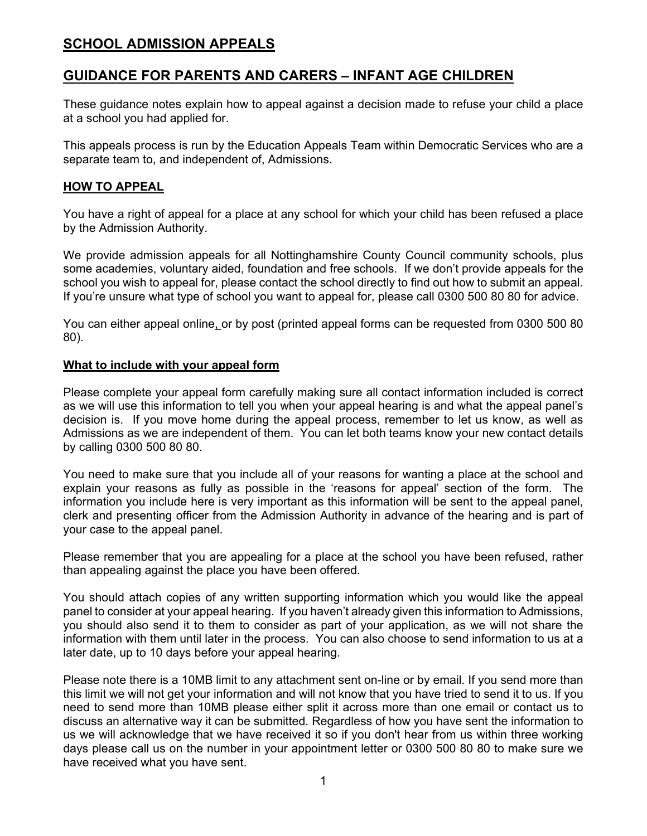# **SCHOOL ADMISSION APPEALS**

# **GUIDANCE FOR PARENTS AND CARERS – INFANT AGE CHILDREN**

These guidance notes explain how to appeal against a decision made to refuse your child a place at a school you had applied for.

This appeals process is run by the Education Appeals Team within Democratic Services who are a separate team to, and independent of, Admissions.

#### **HOW TO APPEAL**

You have a right of appeal for a place at any school for which your child has been refused a place by the Admission Authority.

We provide admission appeals for all Nottinghamshire County Council community schools, plus some academies, voluntary aided, foundation and free schools. If we don't provide appeals for the school you wish to appeal for, please contact the school directly to find out how to submit an appeal. If you're unsure what type of school you want to appeal for, please call 0300 500 80 80 for advice.

You can either appeal online, or by post (printed appeal forms can be requested from 0300 500 80 80).

#### **What to include with your appeal form**

Please complete your appeal form carefully making sure all contact information included is correct as we will use this information to tell you when your appeal hearing is and what the appeal panel's decision is. If you move home during the appeal process, remember to let us know, as well as Admissions as we are independent of them. You can let both teams know your new contact details by calling 0300 500 80 80.

You need to make sure that you include all of your reasons for wanting a place at the school and explain your reasons as fully as possible in the 'reasons for appeal' section of the form. The information you include here is very important as this information will be sent to the appeal panel, clerk and presenting officer from the Admission Authority in advance of the hearing and is part of your case to the appeal panel.

Please remember that you are appealing for a place at the school you have been refused, rather than appealing against the place you have been offered.

You should attach copies of any written supporting information which you would like the appeal panel to consider at your appeal hearing. If you haven't already given this information to Admissions, you should also send it to them to consider as part of your application, as we will not share the information with them until later in the process. You can also choose to send information to us at a later date, up to 10 days before your appeal hearing.

Please note there is a 10MB limit to any attachment sent on-line or by email. If you send more than this limit we will not get your information and will not know that you have tried to send it to us. If you need to send more than 10MB please either split it across more than one email or contact us to discuss an alternative way it can be submitted. Regardless of how you have sent the information to us we will acknowledge that we have received it so if you don't hear from us within three working days please call us on the number in your appointment letter or 0300 500 80 80 to make sure we have received what you have sent.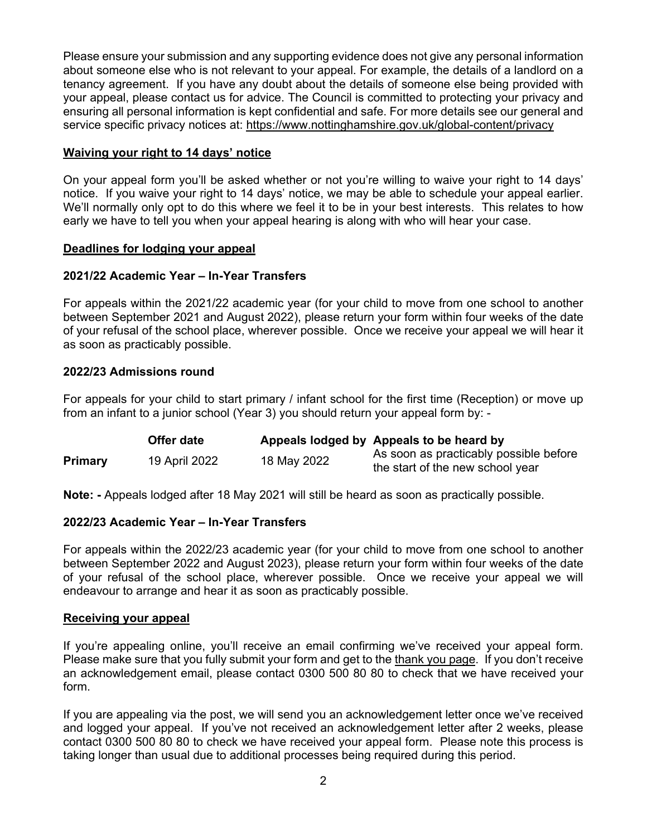Please ensure your submission and any supporting evidence does not give any personal information about someone else who is not relevant to your appeal. For example, the details of a landlord on a tenancy agreement. If you have any doubt about the details of someone else being provided with your appeal, please contact us for advice. The Council is committed to protecting your privacy and ensuring all personal information is kept confidential and safe. For more details see our general and service specific privacy notices at: https://www.nottinghamshire.gov.uk/global-content/privacy

### **Waiving your right to 14 days' notice**

On your appeal form you'll be asked whether or not you're willing to waive your right to 14 days' notice. If you waive your right to 14 days' notice, we may be able to schedule your appeal earlier. We'll normally only opt to do this where we feel it to be in your best interests. This relates to how early we have to tell you when your appeal hearing is along with who will hear your case.

#### **Deadlines for lodging your appeal**

### **2021/22 Academic Year – In-Year Transfers**

For appeals within the 2021/22 academic year (for your child to move from one school to another between September 2021 and August 2022), please return your form within four weeks of the date of your refusal of the school place, wherever possible. Once we receive your appeal we will hear it as soon as practicably possible.

### **2022/23 Admissions round**

For appeals for your child to start primary / infant school for the first time (Reception) or move up from an infant to a junior school (Year 3) you should return your appeal form by: -

|                | Offer date    |             | Appeals lodged by Appeals to be heard by                                   |
|----------------|---------------|-------------|----------------------------------------------------------------------------|
| <b>Primary</b> | 19 April 2022 | 18 May 2022 | As soon as practicably possible before<br>the start of the new school year |

**Note: -** Appeals lodged after 18 May 2021 will still be heard as soon as practically possible.

# **2022/23 Academic Year – In-Year Transfers**

For appeals within the 2022/23 academic year (for your child to move from one school to another between September 2022 and August 2023), please return your form within four weeks of the date of your refusal of the school place, wherever possible. Once we receive your appeal we will endeavour to arrange and hear it as soon as practicably possible.

#### **Receiving your appeal**

If you're appealing online, you'll receive an email confirming we've received your appeal form. Please make sure that you fully submit your form and get to the thank you page. If you don't receive an acknowledgement email, please contact 0300 500 80 80 to check that we have received your form.

If you are appealing via the post, we will send you an acknowledgement letter once we've received and logged your appeal. If you've not received an acknowledgement letter after 2 weeks, please contact 0300 500 80 80 to check we have received your appeal form. Please note this process is taking longer than usual due to additional processes being required during this period.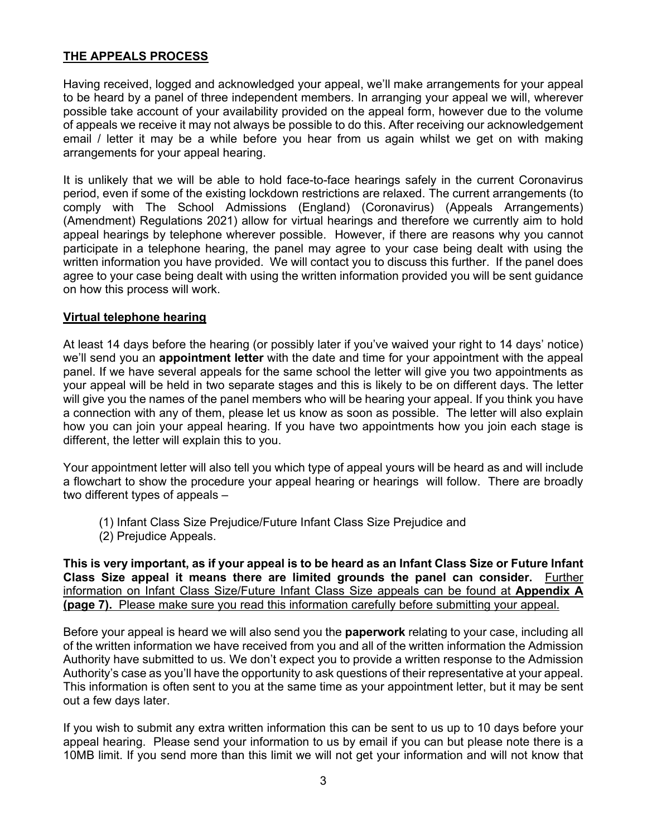# **THE APPEALS PROCESS**

Having received, logged and acknowledged your appeal, we'll make arrangements for your appeal to be heard by a panel of three independent members. In arranging your appeal we will, wherever possible take account of your availability provided on the appeal form, however due to the volume of appeals we receive it may not always be possible to do this. After receiving our acknowledgement email / letter it may be a while before you hear from us again whilst we get on with making arrangements for your appeal hearing.

It is unlikely that we will be able to hold face-to-face hearings safely in the current Coronavirus period, even if some of the existing lockdown restrictions are relaxed. The current arrangements (to comply with The School Admissions (England) (Coronavirus) (Appeals Arrangements) (Amendment) Regulations 2021) allow for virtual hearings and therefore we currently aim to hold appeal hearings by telephone wherever possible. However, if there are reasons why you cannot participate in a telephone hearing, the panel may agree to your case being dealt with using the written information you have provided. We will contact you to discuss this further. If the panel does agree to your case being dealt with using the written information provided you will be sent guidance on how this process will work.

#### **Virtual telephone hearing**

At least 14 days before the hearing (or possibly later if you've waived your right to 14 days' notice) we'll send you an **appointment letter** with the date and time for your appointment with the appeal panel. If we have several appeals for the same school the letter will give you two appointments as your appeal will be held in two separate stages and this is likely to be on different days. The letter will give you the names of the panel members who will be hearing your appeal. If you think you have a connection with any of them, please let us know as soon as possible. The letter will also explain how you can join your appeal hearing. If you have two appointments how you join each stage is different, the letter will explain this to you.

Your appointment letter will also tell you which type of appeal yours will be heard as and will include a flowchart to show the procedure your appeal hearing or hearings will follow. There are broadly two different types of appeals –

- (1) Infant Class Size Prejudice/Future Infant Class Size Prejudice and
- (2) Prejudice Appeals.

**This is very important, as if your appeal is to be heard as an Infant Class Size or Future Infant Class Size appeal it means there are limited grounds the panel can consider.** Further information on Infant Class Size/Future Infant Class Size appeals can be found at **Appendix A (page 7).** Please make sure you read this information carefully before submitting your appeal.

Before your appeal is heard we will also send you the **paperwork** relating to your case, including all of the written information we have received from you and all of the written information the Admission Authority have submitted to us. We don't expect you to provide a written response to the Admission Authority's case as you'll have the opportunity to ask questions of their representative at your appeal. This information is often sent to you at the same time as your appointment letter, but it may be sent out a few days later.

If you wish to submit any extra written information this can be sent to us up to 10 days before your appeal hearing. Please send your information to us by email if you can but please note there is a 10MB limit. If you send more than this limit we will not get your information and will not know that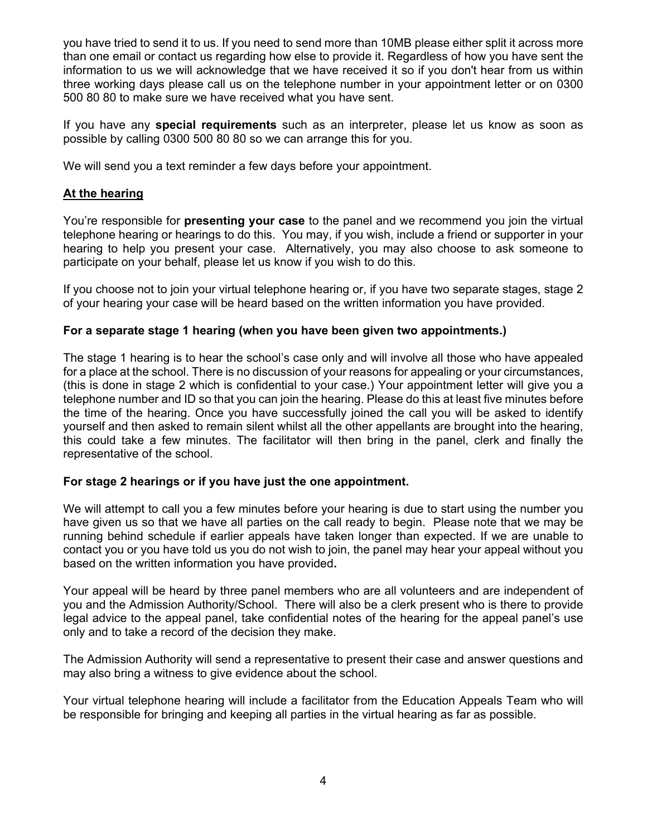you have tried to send it to us. If you need to send more than 10MB please either split it across more than one email or contact us regarding how else to provide it. Regardless of how you have sent the information to us we will acknowledge that we have received it so if you don't hear from us within three working days please call us on the telephone number in your appointment letter or on 0300 500 80 80 to make sure we have received what you have sent.

If you have any **special requirements** such as an interpreter, please let us know as soon as possible by calling 0300 500 80 80 so we can arrange this for you.

We will send you a text reminder a few days before your appointment.

#### **At the hearing**

You're responsible for **presenting your case** to the panel and we recommend you join the virtual telephone hearing or hearings to do this. You may, if you wish, include a friend or supporter in your hearing to help you present your case. Alternatively, you may also choose to ask someone to participate on your behalf, please let us know if you wish to do this.

If you choose not to join your virtual telephone hearing or, if you have two separate stages, stage 2 of your hearing your case will be heard based on the written information you have provided.

#### **For a separate stage 1 hearing (when you have been given two appointments.)**

The stage 1 hearing is to hear the school's case only and will involve all those who have appealed for a place at the school. There is no discussion of your reasons for appealing or your circumstances, (this is done in stage 2 which is confidential to your case.) Your appointment letter will give you a telephone number and ID so that you can join the hearing. Please do this at least five minutes before the time of the hearing. Once you have successfully joined the call you will be asked to identify yourself and then asked to remain silent whilst all the other appellants are brought into the hearing, this could take a few minutes. The facilitator will then bring in the panel, clerk and finally the representative of the school.

#### **For stage 2 hearings or if you have just the one appointment.**

We will attempt to call you a few minutes before your hearing is due to start using the number you have given us so that we have all parties on the call ready to begin. Please note that we may be running behind schedule if earlier appeals have taken longer than expected. If we are unable to contact you or you have told us you do not wish to join, the panel may hear your appeal without you based on the written information you have provided**.** 

Your appeal will be heard by three panel members who are all volunteers and are independent of you and the Admission Authority/School. There will also be a clerk present who is there to provide legal advice to the appeal panel, take confidential notes of the hearing for the appeal panel's use only and to take a record of the decision they make.

The Admission Authority will send a representative to present their case and answer questions and may also bring a witness to give evidence about the school.

Your virtual telephone hearing will include a facilitator from the Education Appeals Team who will be responsible for bringing and keeping all parties in the virtual hearing as far as possible.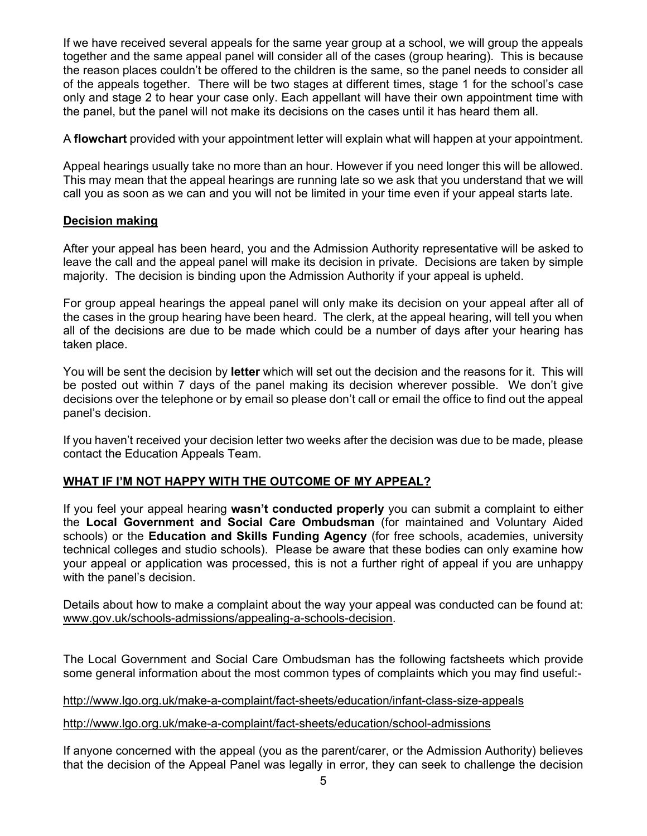If we have received several appeals for the same year group at a school, we will group the appeals together and the same appeal panel will consider all of the cases (group hearing). This is because the reason places couldn't be offered to the children is the same, so the panel needs to consider all of the appeals together. There will be two stages at different times, stage 1 for the school's case only and stage 2 to hear your case only. Each appellant will have their own appointment time with the panel, but the panel will not make its decisions on the cases until it has heard them all.

A **flowchart** provided with your appointment letter will explain what will happen at your appointment.

Appeal hearings usually take no more than an hour. However if you need longer this will be allowed. This may mean that the appeal hearings are running late so we ask that you understand that we will call you as soon as we can and you will not be limited in your time even if your appeal starts late.

### **Decision making**

After your appeal has been heard, you and the Admission Authority representative will be asked to leave the call and the appeal panel will make its decision in private. Decisions are taken by simple majority. The decision is binding upon the Admission Authority if your appeal is upheld.

For group appeal hearings the appeal panel will only make its decision on your appeal after all of the cases in the group hearing have been heard. The clerk, at the appeal hearing, will tell you when all of the decisions are due to be made which could be a number of days after your hearing has taken place.

You will be sent the decision by **letter** which will set out the decision and the reasons for it. This will be posted out within 7 days of the panel making its decision wherever possible. We don't give decisions over the telephone or by email so please don't call or email the office to find out the appeal panel's decision.

If you haven't received your decision letter two weeks after the decision was due to be made, please contact the Education Appeals Team.

# **WHAT IF I'M NOT HAPPY WITH THE OUTCOME OF MY APPEAL?**

If you feel your appeal hearing **wasn't conducted properly** you can submit a complaint to either the **Local Government and Social Care Ombudsman** (for maintained and Voluntary Aided schools) or the **Education and Skills Funding Agency** (for free schools, academies, university technical colleges and studio schools). Please be aware that these bodies can only examine how your appeal or application was processed, this is not a further right of appeal if you are unhappy with the panel's decision.

Details about how to make a complaint about the way your appeal was conducted can be found at: www.gov.uk/schools-admissions/appealing-a-schools-decision.

The Local Government and Social Care Ombudsman has the following factsheets which provide some general information about the most common types of complaints which you may find useful:-

#### http://www.lgo.org.uk/make-a-complaint/fact-sheets/education/infant-class-size-appeals

#### http://www.lgo.org.uk/make-a-complaint/fact-sheets/education/school-admissions

If anyone concerned with the appeal (you as the parent/carer, or the Admission Authority) believes that the decision of the Appeal Panel was legally in error, they can seek to challenge the decision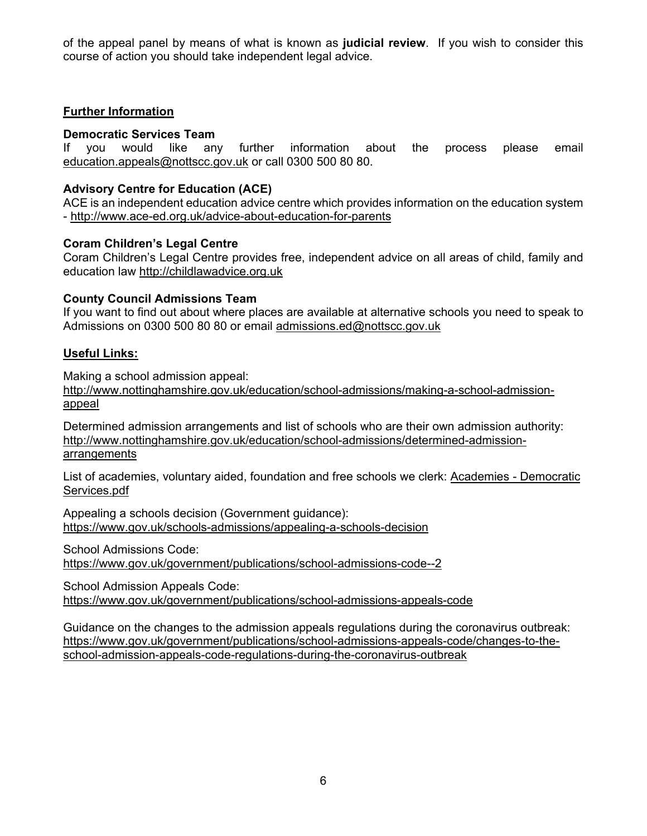of the appeal panel by means of what is known as **judicial review**. If you wish to consider this course of action you should take independent legal advice.

### **Further Information**

### **Democratic Services Team**

If you would like any further information about the process please email education.appeals@nottscc.gov.uk or call 0300 500 80 80.

# **Advisory Centre for Education (ACE)**

ACE is an independent education advice centre which provides information on the education system - http://www.ace-ed.org.uk/advice-about-education-for-parents

### **Coram Children's Legal Centre**

Coram Children's Legal Centre provides free, independent advice on all areas of child, family and education law http://childlawadvice.org.uk

# **County Council Admissions Team**

If you want to find out about where places are available at alternative schools you need to speak to Admissions on 0300 500 80 80 or email admissions.ed@nottscc.gov.uk

# **Useful Links:**

Making a school admission appeal:

http://www.nottinghamshire.gov.uk/education/school-admissions/making-a-school-admissionappeal

Determined admission arrangements and list of schools who are their own admission authority: http://www.nottinghamshire.gov.uk/education/school-admissions/determined-admissionarrangements

List of academies, voluntary aided, foundation and free schools we clerk: Academies - Democratic Services.pdf

Appealing a schools decision (Government guidance): https://www.gov.uk/schools-admissions/appealing-a-schools-decision

School Admissions Code:

https://www.gov.uk/government/publications/school-admissions-code--2

School Admission Appeals Code: https://www.gov.uk/government/publications/school-admissions-appeals-code

Guidance on the changes to the admission appeals regulations during the coronavirus outbreak: https://www.gov.uk/government/publications/school-admissions-appeals-code/changes-to-theschool-admission-appeals-code-regulations-during-the-coronavirus-outbreak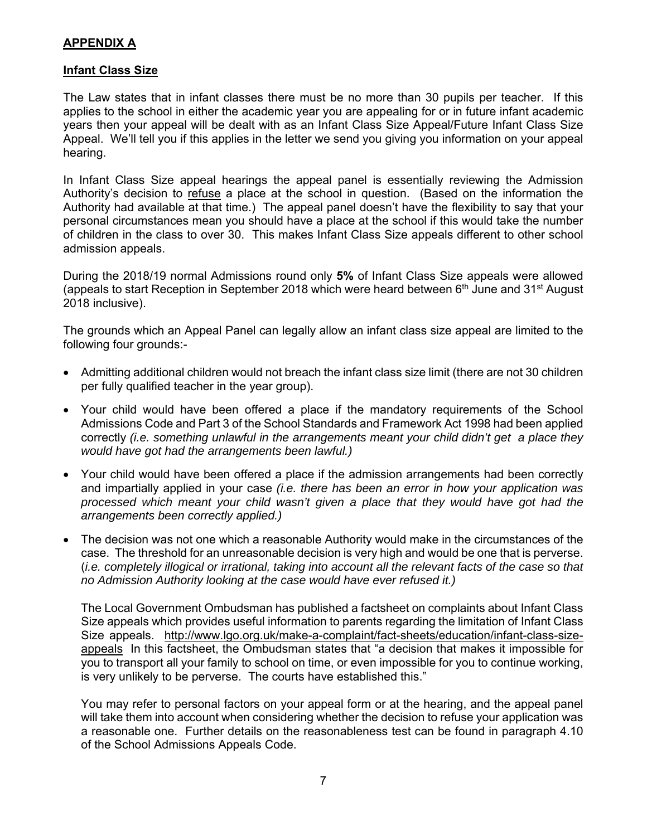# **APPENDIX A**

#### **Infant Class Size**

The Law states that in infant classes there must be no more than 30 pupils per teacher. If this applies to the school in either the academic year you are appealing for or in future infant academic years then your appeal will be dealt with as an Infant Class Size Appeal/Future Infant Class Size Appeal. We'll tell you if this applies in the letter we send you giving you information on your appeal hearing.

In Infant Class Size appeal hearings the appeal panel is essentially reviewing the Admission Authority's decision to refuse a place at the school in question. (Based on the information the Authority had available at that time.) The appeal panel doesn't have the flexibility to say that your personal circumstances mean you should have a place at the school if this would take the number of children in the class to over 30. This makes Infant Class Size appeals different to other school admission appeals.

During the 2018/19 normal Admissions round only **5%** of Infant Class Size appeals were allowed (appeals to start Reception in September 2018 which were heard between  $6<sup>th</sup>$  June and 31<sup>st</sup> August 2018 inclusive).

The grounds which an Appeal Panel can legally allow an infant class size appeal are limited to the following four grounds:-

- Admitting additional children would not breach the infant class size limit (there are not 30 children per fully qualified teacher in the year group).
- Your child would have been offered a place if the mandatory requirements of the School Admissions Code and Part 3 of the School Standards and Framework Act 1998 had been applied correctly *(i.e. something unlawful in the arrangements meant your child didn't get a place they would have got had the arrangements been lawful.)*
- Your child would have been offered a place if the admission arrangements had been correctly and impartially applied in your case *(i.e. there has been an error in how your application was processed which meant your child wasn't given a place that they would have got had the arrangements been correctly applied.)*
- The decision was not one which a reasonable Authority would make in the circumstances of the case. The threshold for an unreasonable decision is very high and would be one that is perverse. (*i.e. completely illogical or irrational, taking into account all the relevant facts of the case so that no Admission Authority looking at the case would have ever refused it.)*

The Local Government Ombudsman has published a factsheet on complaints about Infant Class Size appeals which provides useful information to parents regarding the limitation of Infant Class Size appeals. http://www.lgo.org.uk/make-a-complaint/fact-sheets/education/infant-class-sizeappeals In this factsheet, the Ombudsman states that "a decision that makes it impossible for you to transport all your family to school on time, or even impossible for you to continue working, is very unlikely to be perverse. The courts have established this."

You may refer to personal factors on your appeal form or at the hearing, and the appeal panel will take them into account when considering whether the decision to refuse your application was a reasonable one. Further details on the reasonableness test can be found in paragraph 4.10 of the School Admissions Appeals Code.